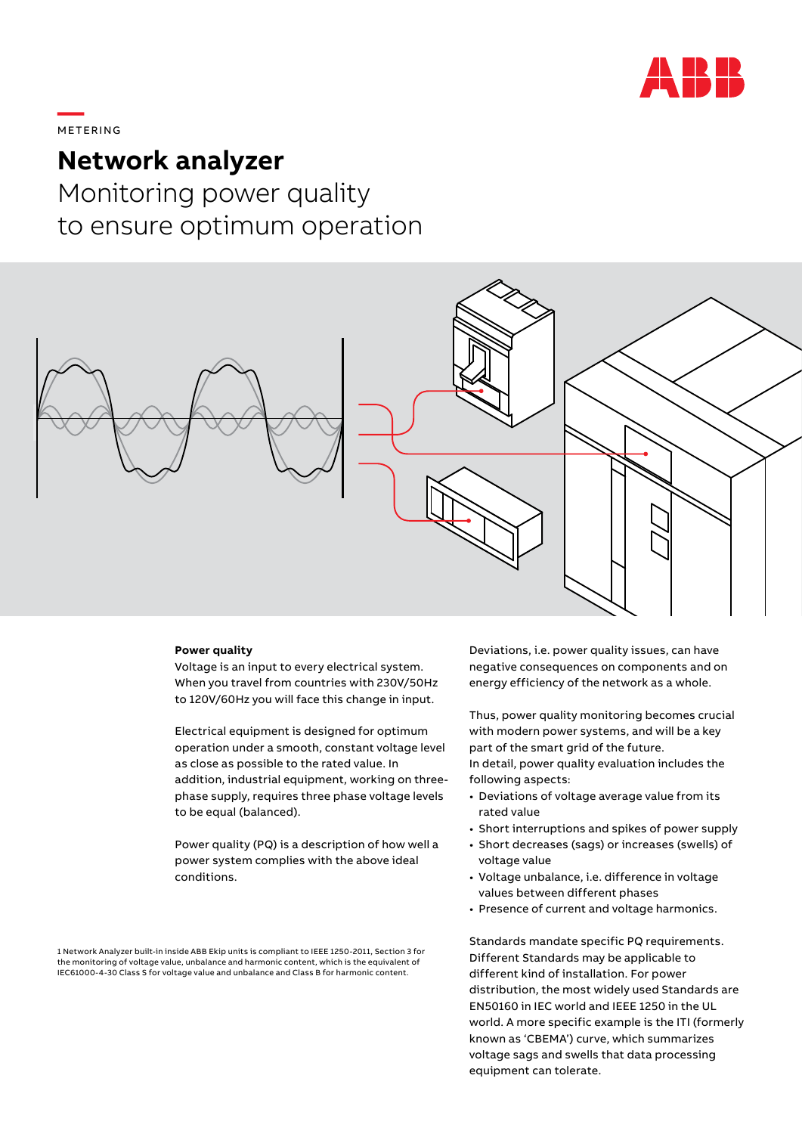

# **—**  METERING

## **Network analyzer**

Monitoring power quality to ensure optimum operation



#### **Power quality**

Voltage is an input to every electrical system. When you travel from countries with 230V/50Hz to 120V/60Hz you will face this change in input.

Electrical equipment is designed for optimum operation under a smooth, constant voltage level as close as possible to the rated value. In addition, industrial equipment, working on threephase supply, requires three phase voltage levels to be equal (balanced).

Power quality (PQ) is a description of how well a power system complies with the above ideal conditions.

1 Network Analyzer built-in inside ABB Ekip units is compliant to IEEE 1250-2011, Section 3 for the monitoring of voltage value, unbalance and harmonic content, which is the equivalent of IEC61000-4-30 Class S for voltage value and unbalance and Class B for harmonic content.

Deviations, i.e. power quality issues, can have negative consequences on components and on energy efficiency of the network as a whole.

Thus, power quality monitoring becomes crucial with modern power systems, and will be a key part of the smart grid of the future. In detail, power quality evaluation includes the following aspects:

- Deviations of voltage average value from its rated value
- Short interruptions and spikes of power supply
- Short decreases (sags) or increases (swells) of voltage value
- Voltage unbalance, i.e. difference in voltage values between different phases
- Presence of current and voltage harmonics.

Standards mandate specific PQ requirements. Different Standards may be applicable to different kind of installation. For power distribution, the most widely used Standards are EN50160 in IEC world and IEEE 1250 in the UL world. A more specific example is the ITI (formerly known as 'CBEMA') curve, which summarizes voltage sags and swells that data processing equipment can tolerate.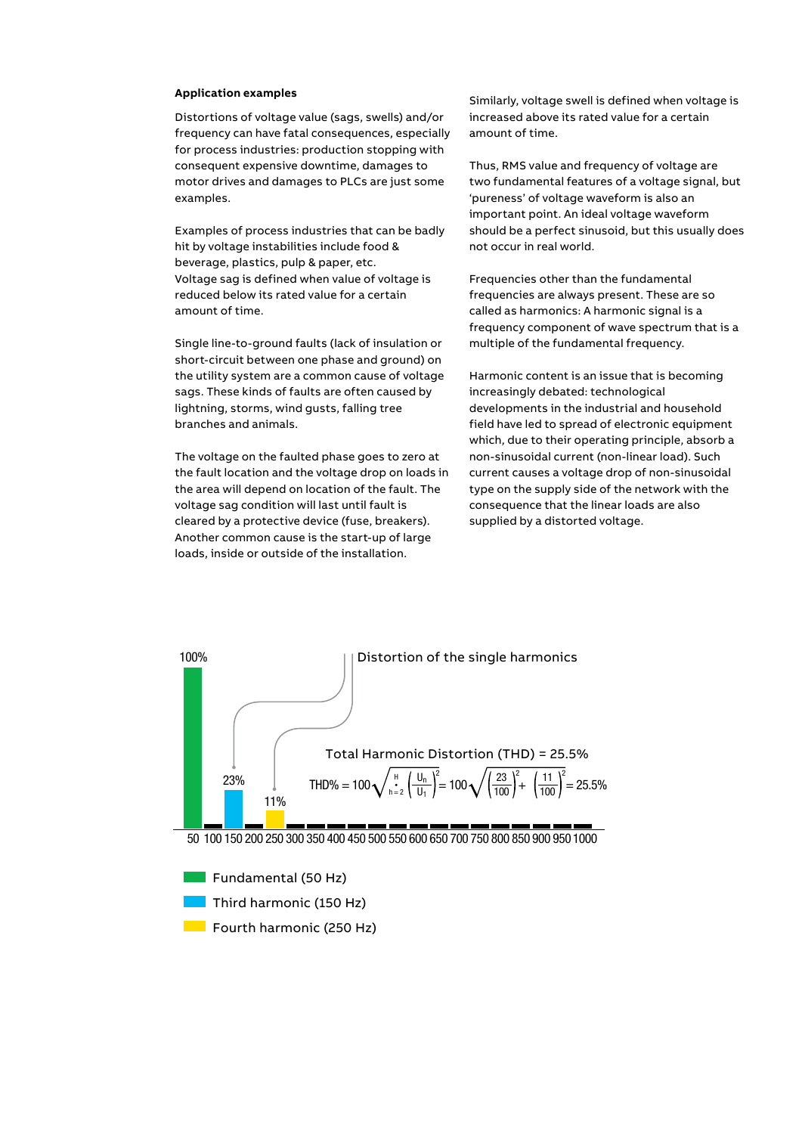#### **Application examples**

Distortions of voltage value (sags, swells) and/or frequency can have fatal consequences, especially for process industries: production stopping with consequent expensive downtime, damages to motor drives and damages to PLCs are just some examples.

Examples of process industries that can be badly hit by voltage instabilities include food & beverage, plastics, pulp & paper, etc. Voltage sag is defined when value of voltage is reduced below its rated value for a certain amount of time.

Single line-to-ground faults (lack of insulation or short-circuit between one phase and ground) on the utility system are a common cause of voltage sags. These kinds of faults are often caused by lightning, storms, wind gusts, falling tree branches and animals.

The voltage on the faulted phase goes to zero at the fault location and the voltage drop on loads in the area will depend on location of the fault. The voltage sag condition will last until fault is cleared by a protective device (fuse, breakers). Another common cause is the start-up of large loads, inside or outside of the installation.

Similarly, voltage swell is defined when voltage is increased above its rated value for a certain amount of time.

Thus, RMS value and frequency of voltage are two fundamental features of a voltage signal, but 'pureness' of voltage waveform is also an important point. An ideal voltage waveform should be a perfect sinusoid, but this usually does not occur in real world.

Frequencies other than the fundamental frequencies are always present. These are so called as harmonics: A harmonic signal is a frequency component of wave spectrum that is a multiple of the fundamental frequency.

Harmonic content is an issue that is becoming increasingly debated: technological developments in the industrial and household field have led to spread of electronic equipment which, due to their operating principle, absorb a non-sinusoidal current (non-linear load). Such current causes a voltage drop of non-sinusoidal type on the supply side of the network with the consequence that the linear loads are also supplied by a distorted voltage.



50 100 150 200 250 300 350 400 450 500 550 600 650 700 750 800 850 900 950 1000

Fundamental (50 Hz) Third harmonic (150 Hz) **Fourth harmonic (250 Hz)**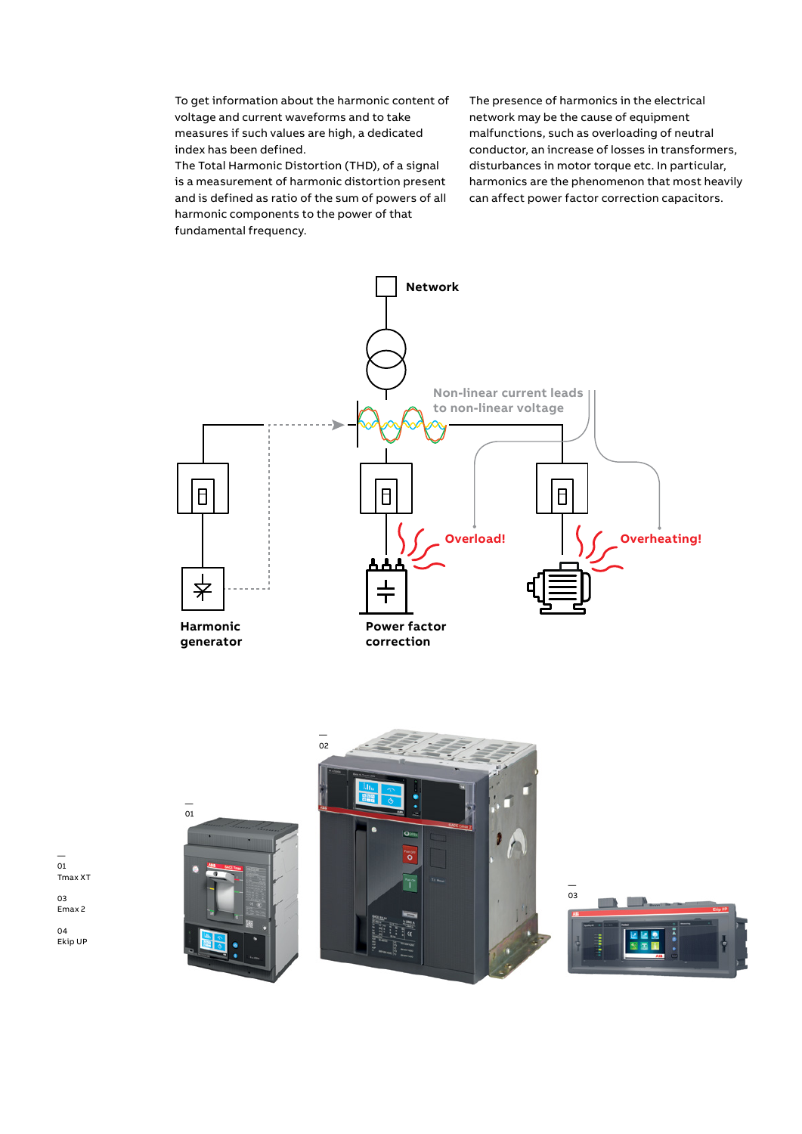To get information about the harmonic content of voltage and current waveforms and to take measures if such values are high, a dedicated index has been defined.

The Total Harmonic Distortion (THD), of a signal is a measurement of harmonic distortion present and is defined as ratio of the sum of powers of all harmonic components to the power of that fundamental frequency.

The presence of harmonics in the electrical network may be the cause of equipment malfunctions, such as overloading of neutral conductor, an increase of losses in transformers, disturbances in motor torque etc. In particular, harmonics are the phenomenon that most heavily can affect power factor correction capacitors.





— 01

03 Emax 2

04 Ekip UP